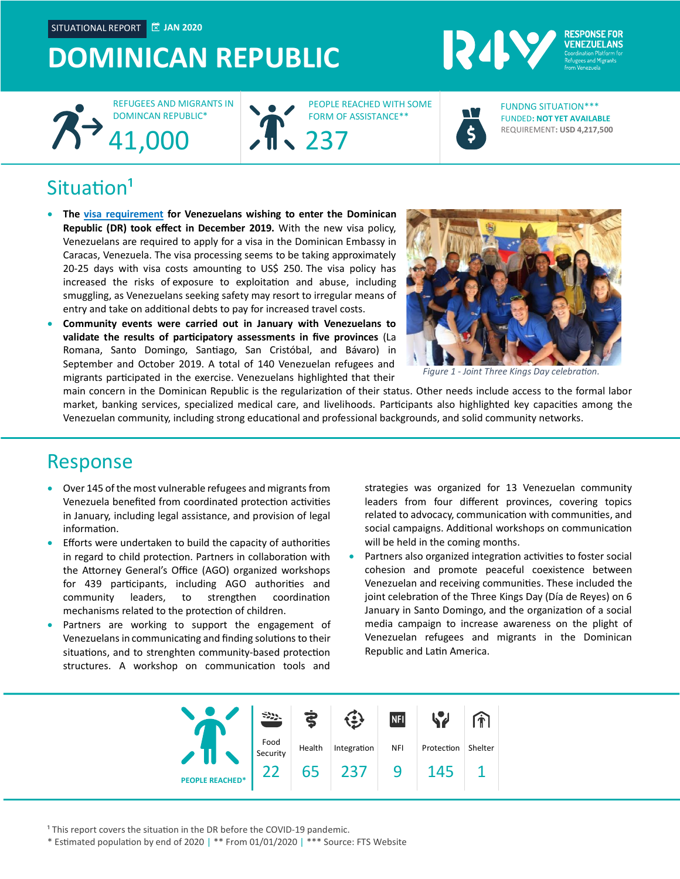SITUATIONAL REPORT **JAN 2020**

## **DOMINICAN REPUBLIC**





PEOPLE REACHED WITH SOME FORM OF ASSISTANCE\*\*



**RESPONSE FOR** 



FUNDED**: NOT YET AVAILABLE** REQUIREMENT**: USD 4,217,500** FUNDNG SITUATION\*\*\*

### $Situation<sup>1</sup>$

- **The [visa requirement](https://www.mirex.gob.do/medios/noticias/ministerio-de-relaciones-exteriores-establece-visa-de-turismo-para-nacionales-venezolanos) for Venezuelans wishing to enter the Dominican Republic (DR) took effect in December 2019.** With the new visa policy, Venezuelans are required to apply for a visa in the Dominican Embassy in Caracas, Venezuela. The visa processing seems to be taking approximately 20-25 days with visa costs amounting to US\$ 250. The visa policy has increased the risks of exposure to exploitation and abuse, including smuggling, as Venezuelans seeking safety may resort to irregular means of entry and take on additional debts to pay for increased travel costs.
- **Community events were carried out in January with Venezuelans to validate the results of participatory assessments in five provinces** (La Romana, Santo Domingo, Santiago, San Cristóbal, and Bávaro) in September and October 2019. A total of 140 Venezuelan refugees and migrants participated in the exercise. Venezuelans highlighted that their



*Figure 1 - Joint Three Kings Day celebration.*

main concern in the Dominican Republic is the regularization of their status. Other needs include access to the formal labor market, banking services, specialized medical care, and livelihoods. Participants also highlighted key capacities among the Venezuelan community, including strong educational and professional backgrounds, and solid community networks.

#### Response

- Over 145 of the most vulnerable refugees and migrants from Venezuela benefited from coordinated protection activities in January, including legal assistance, and provision of legal information.
- Efforts were undertaken to build the capacity of authorities in regard to child protection. Partners in collaboration with the Attorney General's Office (AGO) organized workshops for 439 participants, including AGO authorities and community leaders, to strengthen coordination mechanisms related to the protection of children.
- Partners are working to support the engagement of Venezuelans in communicating and finding solutions to their situations, and to strenghten community-based protection structures. A workshop on communication tools and

strategies was organized for 13 Venezuelan community leaders from four different provinces, covering topics related to advocacy, communication with communities, and social campaigns. Additional workshops on communication will be held in the coming months.

• Partners also organized integration activities to foster social cohesion and promote peaceful coexistence between Venezuelan and receiving communities. These included the joint celebration of the Three Kings Day (Día de Reyes) on 6 January in Santo Domingo, and the organization of a social media campaign to increase awareness on the plight of Venezuelan refugees and migrants in the Dominican Republic and Latin America.



<sup>1</sup> This report covers the situation in the DR before the COVID-19 pandemic.

\* Estimated population by end of 2020 | \*\* From 01/01/2020 | \*\*\* Source: FTS Website